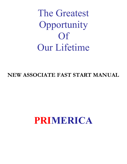The Greatest Opportunity Of Our Lifetime

**NEW ASSOCIATE FAST START MANUAL** 

# **PRIMERICA**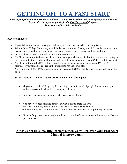# **GETTING OFF TO A FAST START**

*Earn 50,000 points on Builders Track and witness 4 Life Transactions (one can be your personal policy) in your first 30 days and qualify for the Fast Start Award Program. Your trainer will explain the details!*

#### **Keys to Success:**

- If you follow our system, every goal or dream you have, can and will be accomplished.
- Within about 60 days from now you will be licensed and trained along with 1, 2, maybe even 3 or more licensed and trained people who are in our market, know a lot of people and have credibility.
- Several others on your team will be on track to do the same.
- You'll have an unlimited number of appointments to go on because of all of the new recruits coming on to your team that need to be field trained and you will be in a position to earn  $$2,000 - 5,000$  per month
- You'll be on track to be RVP within 6 months or so, however you may want to go RVP in 12-18 months, so you're mature enough in the business to run your own office.
- You could earn \$30k \$50k in income your first year, and \$150k \$250k plus your second year in the business.

#### **So, on a scale of 1 10, what is your desire to make all of this happen?**

- All you need to do while getting licensed is get me in front of 15 people that are in the right market, across the Kitchen Table in the next 30 days.
- How many days/nights can you give to Primerica right now?
- Who have you been thinking of that you would like to share this with? *Ex: Most Ambitious, Best People Person, Wants to Make More Money.* (Find out if they are qualified, if not set up interview or invite to the opportunity meeting)
- Great, let's go over what to say and role play a couple of times then we will set up your first few appointments.

#### **After we set up some appointments, then we will go over your Fast Start Manual in more detail.**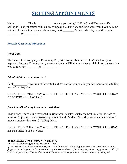# **SETTING APPOINTMENTS**

Hello \_\_\_\_\_\_\_\_\_\_\_\_\_\_\_\_\_\_\_\_\_\_\_\_\_\_\_\_\_\_\_\_\_\_, how are you doing? (WFA) Great! The reason I'm calling is I just got started with a new company that I'm very excited about. Would you help me out and allow me to come and show it to you  $\&$  \_\_\_\_\_\_\_? Great, what day would be better  $\qquad \qquad \text{or} \qquad \qquad \qquad ?$ 

#### **Possible Questions/ Objections**

#### *What is it?*

The name of the company is Primerica, I'm just learning about it so I don't want to try to explain it because I'll mess it up, when we come by I'll let my trainer explain it to you, so when 
6666666666666666665

#### *I don't think we are interested?*

Look if you're not interested and it's not for you, would you feel comfortable telling me no? (WFA) Yes.

GREAT THEN WHAT DAY WOULD BE BETTER I HAVE MON OR WOULD TUESDAY BE BETTER? 6 or 8 o'clock?

#### *I need to talk with my husband or wife first*

That's fine; I'm booking my schedule right now. What's usually the best time for the both of you? We'll just set up a tentative appointment and if it doesn't work you can call me and we'll move it another time okay? (WFA) Okay.

#### GREAT THEN WHAT DAY WOULD BE BETTER I HAVE MON OR WOULD TUESDAY BE BETTER? 6 or 8 o'clock?

#### **MAKE SURE THEY WRITE IT DOWN!**

 $\overline{NOTE: No\ confirming\ phone\ calls\ after\ I^{st}\ contact.}$ 

*If they ask you to call and remind them, say "You know what...I'm going to be pretty busy and don't want to forget or just miss you. I tell you what, I've got it written down. If an emergency comes up, give me a call. If I don't hear from you, I'll know that we're still on and we'll see you then. Would that be okay with you?*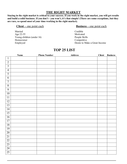#### THE RIGHT MARKET

Staying in the right market is critical to your success. If you work in the right market, you will get results and build a solid business. If you don't - you won't, it's that simple! (There are some exceptions, but they are rare, so spend most of your time working in the right market).

#### $Client$  – one point each

Married Age 22-55 Young children (under 16) Homeowner Employed

#### **Business** – one point each

Credible Motivated People Skills Competitive Desire to Make a Great Income

#### **TOP 25 LIST**

|                         | <b>Name</b> | <b>Phone Number</b> | <b>Address</b> | <b>Client</b> | <b>Business</b> |
|-------------------------|-------------|---------------------|----------------|---------------|-----------------|
| $\mathbf{1}$            |             |                     |                |               |                 |
| $\overline{2}$          |             |                     |                |               |                 |
| $\overline{\mathbf{3}}$ |             |                     |                |               |                 |
| $\overline{4}$          |             |                     |                |               |                 |
| $\overline{5}$          |             |                     |                |               |                 |
| 6                       |             |                     |                |               |                 |
| $\overline{7}$          |             |                     |                |               |                 |
| $\sqrt{8}$              |             |                     |                |               |                 |
| 9                       |             |                     |                |               |                 |
| 10                      |             |                     |                |               |                 |
| 11                      |             |                     |                |               |                 |
| $\overline{12}$         |             |                     |                |               |                 |
| $\overline{13}$         |             |                     |                |               |                 |
| $\overline{14}$         |             |                     |                |               |                 |
| $\overline{15}$         |             |                     |                |               |                 |
| $\overline{16}$         |             |                     |                |               |                 |
| 17                      |             |                     |                |               |                 |
| $\overline{18}$         |             |                     |                |               |                 |
| 19                      |             |                     |                |               |                 |
| 20                      |             |                     |                |               |                 |
| 21                      |             |                     |                |               |                 |
| $\overline{22}$         |             |                     |                |               |                 |
| 23                      |             |                     |                |               |                 |
| $\overline{24}$         |             |                     |                |               |                 |
| 25                      |             |                     |                |               |                 |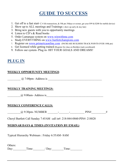# **GUIDE TO SUCCESS**

- 1. Get off to a fast start- (4 life transactions,  $\&$  50k pts 30 days or sooner, get your \$99  $\&$  \$200 for mobile device)
- 2. Show up to ALL meetings and Trainings (show up early & stay late)
- 3. Bring new guests with you to opportunity meetings
- 4. Listen to  $CD$ 's  $\&$  Read books
- 5. Order Lamarque system on www.winwithme.com
- 6. Study EVERYTHING on www.bartlettchampions.com
- 7. Register on www.primericaonline.com (INCREASE BUILDERS TRACK POINTS OVER 100k pts)
- 8. Get licensed while getting trained (Register for class on Builders track scoreboard)
- 9. Follow our system-Plug in- HIT YOUR GOALS AND DREAMS!

## **PLUG IN**

#### **WEEKLY OPPORTUNITY MEETINGS:**

 $\qquad \qquad \textcircled{a}$  7:00pm- Address is  $\qquad \qquad$ 

#### **WEEKLY TRAINING MEETINGS:**

 $(a)$  9:00am - Address is  $\qquad \qquad$ 

#### **WEEKLY CONFERENCE CALLS:**

666666666JHI# .?ACB>+6666666.6666666.6666666666-?K6666666666K

Cheryl Bartlett Call Sunday 7:45AM call in#: 218-844-0860-PIN#: 218828

#### **WEBINAR DAYS & TIMES (INVITATION BY EMAIL)**

Typical Hierarchy Webinars: Friday 6:55AM-8AM

| Others: |          |       |       |  |
|---------|----------|-------|-------|--|
| Day:    | $T$ ime: | 'Dav: | Time: |  |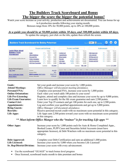### **The Builders Track Scoreboard and Bonus** The bigger the score the bigger the potential bonus!

Watch your score increase as your activity, production and achievements are documented. You can bonus for up to 6 production months following your staring month. Bonuses range from 10% for 50,000 points, up to 20% at 100,000 points.

### As a guide you should be at 50,000 points within 30 days, and 100,000 points within 60 days.

To update the category, just click on the title, update then refresh the screen.

|                                                                                                                                         |                     |           |                                                                                           |                                                                            |                |           |                                       | $\begin{bmatrix} 60 \end{bmatrix}$<br>12345 |                                                                            |                  | $\mathbf{\hat{z}}$                                                                                                  |
|-----------------------------------------------------------------------------------------------------------------------------------------|---------------------|-----------|-------------------------------------------------------------------------------------------|----------------------------------------------------------------------------|----------------|-----------|---------------------------------------|---------------------------------------------|----------------------------------------------------------------------------|------------------|---------------------------------------------------------------------------------------------------------------------|
|                                                                                                                                         |                     |           |                                                                                           |                                                                            |                |           |                                       |                                             |                                                                            |                  |                                                                                                                     |
|                                                                                                                                         |                     | Value     | Score                                                                                     |                                                                            |                | Value     | Score                                 |                                             |                                                                            | Value            | Score                                                                                                               |
| Goals                                                                                                                                   | V X                 |           | 1.000                                                                                     | <b>Contact List</b>                                                        |                | $100 =$   | 2,500                                 | Debt Approved                               | V X                                                                        | $1,000 =$        | 1.000                                                                                                               |
| Attend Meetings                                                                                                                         | $\mathbf{1} \times$ |           | 500                                                                                       | Appointments                                                               | $\vee$         | $500 =$   | 5,000                                 | Life Licensed                               | V X                                                                        | $5,000 =$        | 5.000                                                                                                               |
| Personal FNA                                                                                                                            | $V \times$          | $1,000 =$ | 1.000                                                                                     | <b>Bring Guests</b>                                                        | $V_X$          | $500 =$   | 5.000                                 | SR Rep and 3x3                              | V X                                                                        | $5.000 =$        | 5,000                                                                                                               |
| Online Orientation                                                                                                                      | v x                 |           | 1.000                                                                                     | Recruits                                                                   | 5.75x          | $2,500 =$ | 14,375                                | District and 6x6                            | Vx                                                                         | $5,000 =$        | 5.000                                                                                                               |
| Life Pre-Licensing                                                                                                                      | $\vee$ x            |           | 9,000                                                                                     | Life Apps                                                                  | $10.00 \times$ | $2,500 =$ | 25,000                                | Division and 9x9                            | V X                                                                        | $5,000 =$        | 5,000                                                                                                               |
| Life Exam Guarantee                                                                                                                     | $\vee$ X            |           | 2,500                                                                                     | Other Apps                                                                 | 6.25x          | $1,000 =$ | 6,250                                 |                                             |                                                                            |                  |                                                                                                                     |
|                                                                                                                                         |                     |           |                                                                                           |                                                                            |                |           | 58,125                                |                                             |                                                                            | Subtotal: 21,000 |                                                                                                                     |
|                                                                                                                                         |                     |           |                                                                                           |                                                                            |                |           |                                       |                                             |                                                                            |                  |                                                                                                                     |
| 94.125<br>Score:<br><b>July 2009</b>                                                                                                    |                     |           |                                                                                           |                                                                            |                |           |                                       |                                             |                                                                            |                  |                                                                                                                     |
| <b>Bonus Rate:</b>                                                                                                                      |                     |           | 19%                                                                                       |                                                                            |                |           |                                       |                                             |                                                                            |                  |                                                                                                                     |
| \$5,672.72<br>MTD Premium: QBI 70.00%<br><b>Bonus Qualification Details</b><br>\$754.47<br><b>Bonus Amount:</b><br><b>Bonus History</b> |                     |           |                                                                                           |                                                                            |                |           |                                       |                                             |                                                                            |                  |                                                                                                                     |
|                                                                                                                                         |                     |           |                                                                                           |                                                                            |                |           |                                       |                                             |                                                                            | 19%<br>20%       |                                                                                                                     |
|                                                                                                                                         |                     |           | <b>Prepare and Get Ready</b><br>$1,000 =$<br>$500 =$<br>$100 =$<br>$9,000 =$<br>Subtotal: | <b>Builders Track Scoreboard for Bobby Peterman</b><br>$2,500 =$<br>15,000 |                | $\vee$    | <b>Produce and Build</b><br>Subtotal; |                                             | Rep ID:<br>$0\%$ -Scores over 50k could earn bonuses! $-40$<br>21 T<br>-52 | <b>Find Rep</b>  | O<br>Refresh<br><b>Achievements</b><br>Score 10k - 20k - 30k - 40k - 50k - 50k - 60k - 70k - 80k - 80k - 90k - 100k |

| Goals:                                                                                                  | Set your goals and increase your score by 1,000 points.                                                                                                                                                                                            |  |  |  |  |
|---------------------------------------------------------------------------------------------------------|----------------------------------------------------------------------------------------------------------------------------------------------------------------------------------------------------------------------------------------------------|--|--|--|--|
| <b>Attend Meetings:</b>                                                                                 | Office Manager will document meeting attendance.                                                                                                                                                                                                   |  |  |  |  |
| <b>Personal FNA:</b>                                                                                    | Complete your personal FNA, increase your score by 1,000 points                                                                                                                                                                                    |  |  |  |  |
| <b>Online Orientation:</b>                                                                              | Each video you watch adds 100 points to your score!                                                                                                                                                                                                |  |  |  |  |
| <b>Life Pre-Licensing:</b>                                                                              | Register, attend and complete class and increase your score by up to 9,000 points.                                                                                                                                                                 |  |  |  |  |
| <b>Life Exam Guarantee:</b>                                                                             | Learn how to qualify for the life exam guarantee and earn 2,500 points.                                                                                                                                                                            |  |  |  |  |
| <b>Contact List:</b><br>Enter your Top 25 contacts and get 100 points for each one, up to 2,500 points. |                                                                                                                                                                                                                                                    |  |  |  |  |
| <b>Appointments:</b>                                                                                    | Log and confirm your qualified appointments and get up to 5,000 points.                                                                                                                                                                            |  |  |  |  |
| <b>Bring Guests:</b>                                                                                    | Office Manager will document attendance.                                                                                                                                                                                                           |  |  |  |  |
| Receive personal recruit credit with no maximum score potential in this category.<br><b>Recruits:</b>   |                                                                                                                                                                                                                                                    |  |  |  |  |
| <b>Life Apps:</b>                                                                                       | Life Apps earn 2,500 points toward your score with no maximum score potential<br>in this category.                                                                                                                                                 |  |  |  |  |
|                                                                                                         | ** Must inform Office Manger who the "trainee" is for tracking Life apps **                                                                                                                                                                        |  |  |  |  |
| <b>Other Apps:</b>                                                                                      | Increase your score by 1,000 points each for Auto & Home Completed Apps.,<br>Booked Loans, PLPP Cases and Securities Initial Accounts (must have<br>appropriate licenses), $\&$ Debt Watchers with no maximum score potential in this<br>category. |  |  |  |  |
| Debt Approved:                                                                                          | Complete your Debt Certification and earn an additional 1,000 points.                                                                                                                                                                              |  |  |  |  |

| Dept Approved:                    | Complete your Debt Certification and earn an additional 1,000 poin |
|-----------------------------------|--------------------------------------------------------------------|
| <b>Life Licensed:</b>             | Increase your score by 5,000 when you become Life Licensed!        |
| <b>Sr. Rep/District/Division:</b> | Increase your score with every advancement.                        |

- Use the scoreboard "GUAGE" to track bonus level progress
- Once licensed, scoreboard tracks month to date premium and bonus  $\bullet$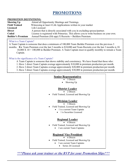### **PROMOTIONS**

#### **PROMOTION DEFINITIONS:**

| <b>Showing Up</b>        | Attend all Opportunity Meetings and Trainings.                                       |
|--------------------------|--------------------------------------------------------------------------------------|
| <b>Field Trained</b>     | Witnessing at least 4 Life Applications written in your market                       |
| <b>Licensed</b>          | Life Licensed                                                                        |
| <b>Direct</b>            | A person that is directly associated with you in excluding spouse/partner.           |
| Coded                    | License is registered with Primerica. This allows you to write business on your own. |
| <b>Builder's Premium</b> | Annual Premium (life app) $X$ Recruits = Builders Premium.                           |

What is a Team Captain?

A Team Captain is someone that does a minimum of 100,000 Team Builder Premium over the previous 3

months. Ex: Team Premium over the last 3 months is \$10,000 and Team Recruits over the last 3 months is 10.  $10,000 \text{ X } 10 = 100,000$  in Builder Premium. A Team Captain must re-qualify monthly to remain a Team Captain.

What is the significance of a Team Captain?

A Team Captain is someone that shows stability and consistency. We have found that those who:

1. Have 1 direct Team Captain average approximately \$10,000 in premium production per month.

2. Have 2 direct Team Captains average approximately \$20,000 in premium production per month.

3. Have 3 direct Team Captains average approximately \$30,000 in premium production per month.

#### **Senior Representative**

- 3 Directs
- Showing Up

#### **District Leader**

2 Directs

Field Trained, Licensed and Showing Up

#### **Division Leader**

 $\bullet$  3 Directs

- Field Trained, Licensed and Showing Up
	- 1 is a current Team Captain
		- 1 is Securities Licensed

#### **Regional Leader**

4 Directs

- Field Trained, Licensed and Showing Up
	- 2 are current Team Captains

#### **Regional Vice President**

#### 6 Directs

- Field Trained, Licensed and Showing Up
	- 3 are current Team Captains
	- Series 26 Licensed  $\bullet$

\*\*\*Please ask your trainer or the RVP for your Promotion Slips\*\*\*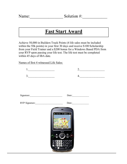## **Fast Start Award**

Achieve 50,000 in Builders Track Points (4 life sales must be included within the 50k points) in your first 30 days and receive \$100 Scholarship from your Field Trainer and a \$200 bonus for a Windows Based PDA from your RVP upon passing your life test. The life test must be completed within 45 days of IBA date.

Names of first 4 witnessed Life Sales:

| $\begin{tabular}{ c c c } \hline & & & \\\hline \end{tabular}$ | $2. \underline{\hspace{2cm}}$                                              |
|----------------------------------------------------------------|----------------------------------------------------------------------------|
| $\begin{array}{c c} \hline \end{array}$                        | $\begin{array}{c} \n 4. \begin{array}{ccc} \hline \end{array} \end{array}$ |
|                                                                |                                                                            |
|                                                                |                                                                            |
|                                                                | Date:                                                                      |
| RVP Signature:                                                 | Date:                                                                      |
| 'y Tamar<br>Treo<br>SF.<br>sol m                               | ۵<br>Ø                                                                     |